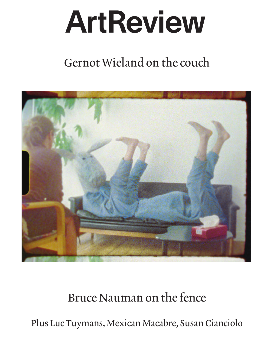## ArtReview

## Gernot Wieland on the couch



## Bruce Nauman 0n the fence

Plus Luc Tuymans, Mexican Macabre, Susan Cianciolo